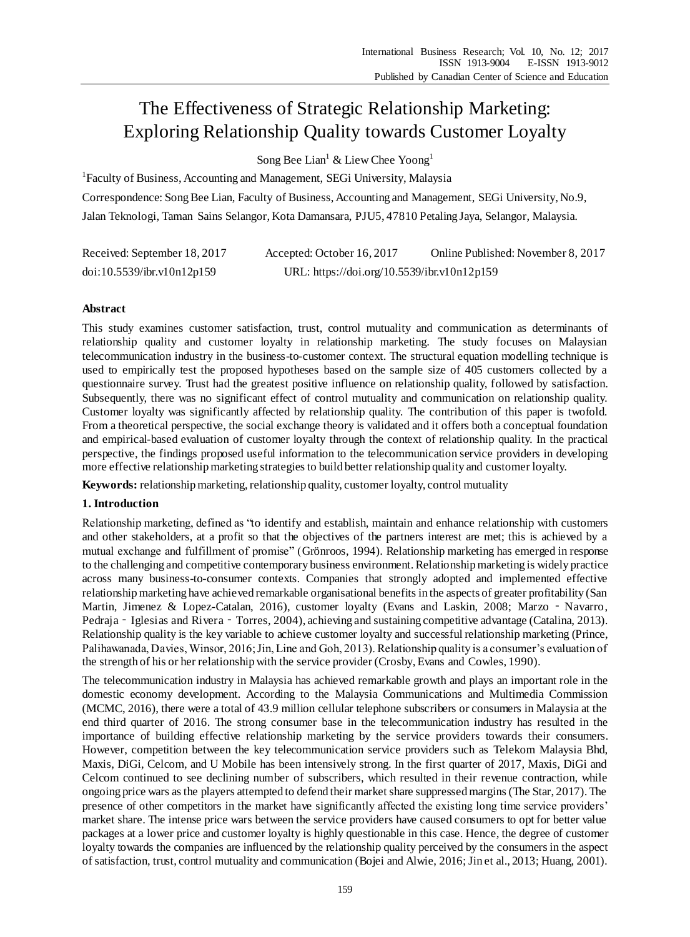# The Effectiveness of Strategic Relationship Marketing: Exploring Relationship Quality towards Customer Loyalty

Song Bee Lian<sup>1</sup> & Liew Chee Yoong<sup>1</sup>

<sup>1</sup>Faculty of Business, Accounting and Management, SEGi University, Malaysia Correspondence: Song Bee Lian, Faculty of Business, Accounting and Management, SEGi University, No.9, Jalan Teknologi, Taman Sains Selangor, Kota Damansara, PJU5, 47810 Petaling Jaya, Selangor, Malaysia.

| Received: September 18, 2017 | Accepted: October 16, 2017                  | Online Published: November 8, 2017 |
|------------------------------|---------------------------------------------|------------------------------------|
| doi:10.5539/ibr.v10n12p159   | URL: https://doi.org/10.5539/ibr.v10n12p159 |                                    |

# **Abstract**

This study examines customer satisfaction, trust, control mutuality and communication as determinants of relationship quality and customer loyalty in relationship marketing. The study focuses on Malaysian telecommunication industry in the business-to-customer context. The structural equation modelling technique is used to empirically test the proposed hypotheses based on the sample size of 405 customers collected by a questionnaire survey. Trust had the greatest positive influence on relationship quality, followed by satisfaction. Subsequently, there was no significant effect of control mutuality and communication on relationship quality. Customer loyalty was significantly affected by relationship quality. The contribution of this paper is twofold. From a theoretical perspective, the social exchange theory is validated and it offers both a conceptual foundation and empirical-based evaluation of customer loyalty through the context of relationship quality. In the practical perspective, the findings proposed useful information to the telecommunication service providers in developing more effective relationship marketing strategies to build better relationship quality and customer loyalty.

**Keywords:** relationship marketing, relationship quality, customer loyalty, control mutuality

# **1. Introduction**

Relationship marketing, defined as "to identify and establish, maintain and enhance relationship with customers and other stakeholders, at a profit so that the objectives of the partners interest are met; this is achieved by a mutual exchange and fulfillment of promise" (Grönroos, 1994). Relationship marketing has emerged in response to the challenging and competitive contemporary business environment. Relationship marketing is widely practice across many business-to-consumer contexts. Companies that strongly adopted and implemented effective relationship marketing have achieved remarkable organisational benefits in the aspects of greater profitability (San Martin, Jimenez & Lopez-Catalan, 2016), customer loyalty (Evans and Laskin, 2008; Marzo - [Navarro,](http://www.emeraldinsight.com/author/Marzo-Navarro%2C+Mercedes) Pedraja - [Iglesias](http://www.emeraldinsight.com/author/Pedraja-Iglesias%2C+Marta) and Rivera - [Torres,](http://www.emeraldinsight.com/author/Pilar+Rivera-Torres%2C+Ma) 2004), achieving and sustaining competitive advantage (Catalina, 2013). Relationship quality is the key variable to achieve customer loyalty and successful relationship marketing (Prince, Palihawanada, Davies, Winsor, 2016; Jin, Line and Goh, 2013). Relationship quality is a consumer's evaluation of the strength of his or her relationship with the service provider (Crosby, Evans and Cowles, 1990).

The telecommunication industry in Malaysia has achieved remarkable growth and plays an important role in the domestic economy development. According to the Malaysia Communications and Multimedia Commission (MCMC, 2016), there were a total of 43.9 million cellular telephone subscribers or consumers in Malaysia at the end third quarter of 2016. The strong consumer base in the telecommunication industry has resulted in the importance of building effective relationship marketing by the service providers towards their consumers. However, competition between the key telecommunication service providers such as Telekom Malaysia Bhd, Maxis, DiGi, Celcom, and U Mobile has been intensively strong. In the first quarter of 2017, Maxis, DiGi and Celcom continued to see declining number of subscribers, which resulted in their revenue contraction, while ongoing price wars as the players attempted to defend their market share suppressed margins (The Star, 2017). The presence of other competitors in the market have significantly affected the existing long time service providers' market share. The intense price wars between the service providers have caused consumers to opt for better value packages at a lower price and customer loyalty is highly questionable in this case. Hence, the degree of customer loyalty towards the companies are influenced by the relationship quality perceived by the consumers in the aspect of satisfaction, trust, control mutuality and communication (Bojei and Alwie, 2016; Jin et al., 2013; Huang, 2001).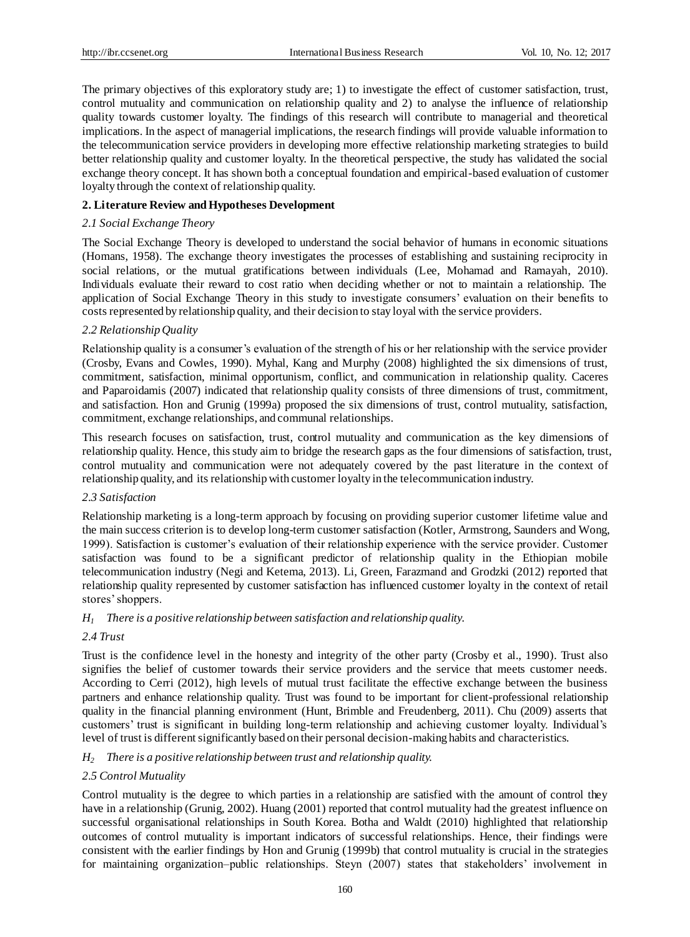The primary objectives of this exploratory study are; 1) to investigate the effect of customer satisfaction, trust, control mutuality and communication on relationship quality and 2) to analyse the influence of relationship quality towards customer loyalty. The findings of this research will contribute to managerial and theoretical implications. In the aspect of managerial implications, the research findings will provide valuable information to the telecommunication service providers in developing more effective relationship marketing strategies to build better relationship quality and customer loyalty. In the theoretical perspective, the study has validated the social exchange theory concept. It has shown both a conceptual foundation and empirical-based evaluation of customer loyalty through the context of relationship quality.

# **2. Literature Review and Hypotheses Development**

#### *2.1 Social Exchange Theory*

The Social Exchange Theory is developed to understand the social behavior of humans in economic situations (Homans, 1958). The exchange theory investigates the processes of establishing and sustaining reciprocity in social relations, or the mutual gratifications between individuals (Lee, Mohamad and Ramayah, 2010). Individuals evaluate their reward to cost ratio when deciding whether or not to maintain a relationship. The application of Social Exchange Theory in this study to investigate consumers' evaluation on their benefits to costs represented by relationship quality, and their decision to stay loyal with the service providers.

## *2.2 Relationship Quality*

Relationship quality is a consumer's evaluation of the strength of his or her relationship with the service provider (Crosby, Evans and Cowles, 1990). Myhal, Kang and Murphy (2008) highlighted the six dimensions of trust, commitment, satisfaction, minimal opportunism, conflict, and communication in relationship quality. Caceres and Paparoidamis (2007) indicated that relationship quality consists of three dimensions of trust, commitment, and satisfaction. Hon and Grunig (1999a) proposed the six dimensions of trust, control mutuality, satisfaction, commitment, exchange relationships, and communal relationships.

This research focuses on satisfaction, trust, control mutuality and communication as the key dimensions of relationship quality. Hence, this study aim to bridge the research gaps as the four dimensions of satisfaction, trust, control mutuality and communication were not adequately covered by the past literature in the context of relationship quality, and its relationship with customer loyalty in the telecommunication industry.

#### *2.3 Satisfaction*

Relationship marketing is a long-term approach by focusing on providing superior customer lifetime value and the main success criterion is to develop long-term customer satisfaction (Kotler, Armstrong, Saunders and Wong, 1999). Satisfaction is customer's evaluation of their relationship experience with the service provider. Customer satisfaction was found to be a significant predictor of relationship quality in the Ethiopian mobile telecommunication industry (Negi and Ketema, 2013). Li, Green, Farazmand and Grodzki (2012) reported that relationship quality represented by customer satisfaction has influenced customer loyalty in the context of retail stores' shoppers.

#### *H<sup>1</sup> There is a positive relationship between satisfaction and relationship quality.*

#### *2.4 Trust*

Trust is the confidence level in the honesty and integrity of the other party (Crosby et al., 1990). Trust also signifies the belief of customer towards their service providers and the service that meets customer needs. According to Cerri (2012), high levels of mutual trust facilitate the effective exchange between the business partners and enhance relationship quality. Trust was found to be important for client-professional relationship quality in the financial planning environment (Hunt, Brimble and Freudenberg, 2011). Chu (2009) asserts that customers' trust is significant in building long-term relationship and achieving customer loyalty. Individual's level of trust is different significantly based on their personal decision-making habits and characteristics.

#### *H<sup>2</sup> There is a positive relationship between trust and relationship quality.*

# *2.5 Control Mutuality*

Control mutuality is the degree to which parties in a relationship are satisfied with the amount of control they have in a relationship (Grunig, 2002). Huang (2001) reported that control mutuality had the greatest influence on successful organisational relationships in South Korea. Botha and Waldt (2010) highlighted that relationship outcomes of control mutuality is important indicators of successful relationships. Hence, their findings were consistent with the earlier findings by Hon and Grunig (1999b) that control mutuality is crucial in the strategies for maintaining organization–public relationships. Steyn (2007) states that stakeholders' involvement in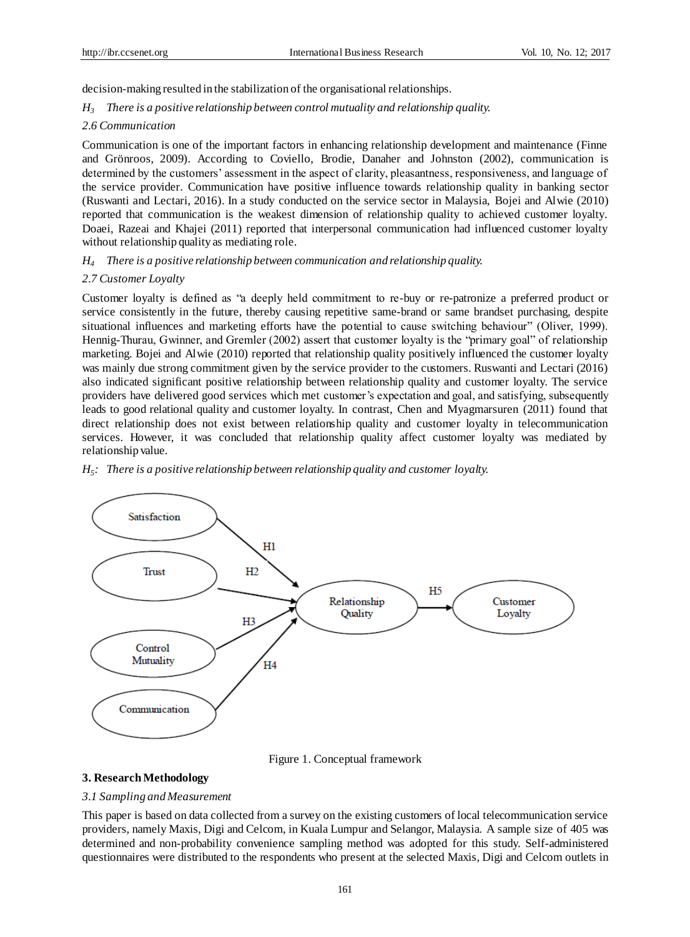decision-making resulted in the stabilization of the organisational relationships.

#### *H<sup>3</sup> There is a positive relationship between control mutuality and relationship quality.*

#### *2.6 Communication*

Communication is one of the important factors in enhancing relationship development and maintenance (Finne and Grönroos, 2009). According to Coviello, Brodie, Danaher and Johnston (2002), communication is determined by the customers' assessment in the aspect of clarity, pleasantness, responsiveness, and language of the service provider. Communication have positive influence towards relationship quality in banking sector (Ruswanti and Lectari, 2016). In a study conducted on the service sector in Malaysia, Bojei and Alwie (2010) reported that communication is the weakest dimension of relationship quality to achieved customer loyalty. Doaei, Razeai and Khajei (2011) reported that interpersonal communication had influenced customer loyalty without relationship quality as mediating role.

*H<sup>4</sup> There is a positive relationship between communication and relationship quality.*

#### *2.7 Customer Loyalty*

Customer loyalty is defined as "a deeply held commitment to re-buy or re-patronize a preferred product or service consistently in the future, thereby causing repetitive same-brand or same brandset purchasing, despite situational influences and marketing efforts have the potential to cause switching behaviour" (Oliver, 1999). Hennig-Thurau, Gwinner, and Gremler (2002) assert that customer loyalty is the "primary goal" of relationship marketing. Bojei and Alwie (2010) reported that relationship quality positively influenced the customer loyalty was mainly due strong commitment given by the service provider to the customers. Ruswanti and Lectari (2016) also indicated significant positive relationship between relationship quality and customer loyalty. The service providers have delivered good services which met customer's expectation and goal, and satisfying, subsequently leads to good relational quality and customer loyalty. In contrast, Chen and Myagmarsuren (2011) found that direct relationship does not exist between relationship quality and customer loyalty in telecommunication services. However, it was concluded that relationship quality affect customer loyalty was mediated by relationship value.



*H5 : There is a positive relationship between relationship quality and customer loyalty.*

Figure 1. Conceptual framework

#### **3. Research Methodology**

#### *3.1 Sampling and Measurement*

This paper is based on data collected from a survey on the existing customers of local telecommunication service providers, namely Maxis, Digi and Celcom, in Kuala Lumpur and Selangor, Malaysia. A sample size of 405 was determined and non-probability convenience sampling method was adopted for this study. Self-administered questionnaires were distributed to the respondents who present at the selected Maxis, Digi and Celcom outlets in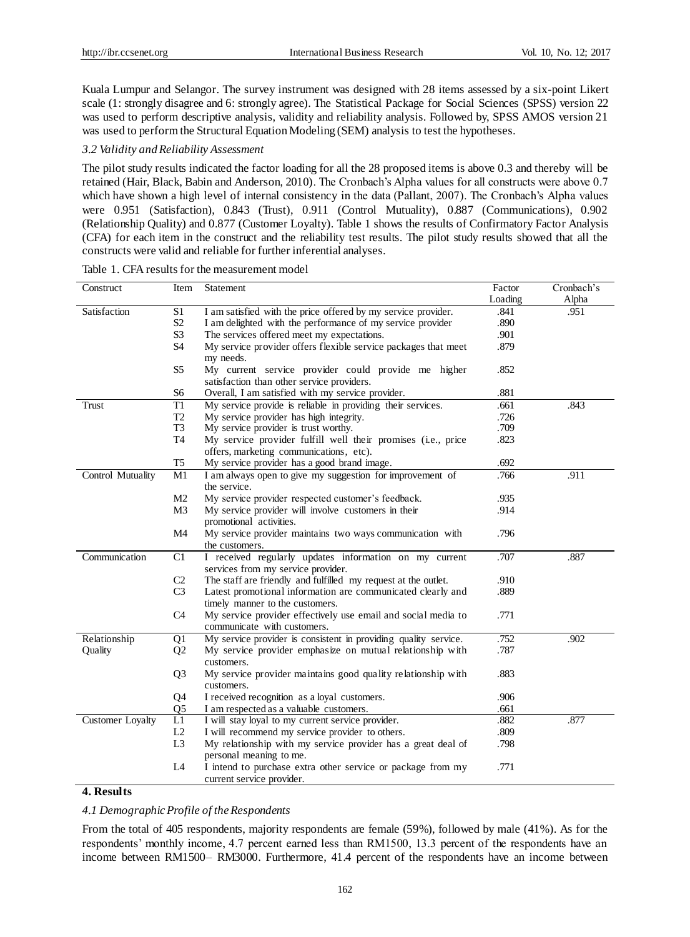Kuala Lumpur and Selangor. The survey instrument was designed with 28 items assessed by a six-point Likert scale (1: strongly disagree and 6: strongly agree). The Statistical Package for Social Sciences (SPSS) version 22 was used to perform descriptive analysis, validity and reliability analysis. Followed by, SPSS AMOS version 21 was used to perform the Structural Equation Modeling (SEM) analysis to test the hypotheses.

#### *3.2 Validity and Reliability Assessment*

The pilot study results indicated the factor loading for all the 28 proposed items is above 0.3 and thereby will be retained (Hair, Black, Babin and Anderson, 2010). The Cronbach's Alpha values for all constructs were above 0.7 which have shown a high level of internal consistency in the data (Pallant, 2007). The Cronbach's Alpha values were 0.951 (Satisfaction), 0.843 (Trust), 0.911 (Control Mutuality), 0.887 (Communications), 0.902 (Relationship Quality) and 0.877 (Customer Loyalty). Table 1 shows the results of Confirmatory Factor Analysis (CFA) for each item in the construct and the reliability test results. The pilot study results showed that all the constructs were valid and reliable for further inferential analyses.

| Construct         | Item           | Statement                                                       | Factor  | Cronbach's |
|-------------------|----------------|-----------------------------------------------------------------|---------|------------|
|                   |                |                                                                 | Loading | Alpha      |
| Satisfaction      | S <sub>1</sub> | I am satisfied with the price offered by my service provider.   | .841    | .951       |
|                   | S <sub>2</sub> | I am delighted with the performance of my service provider      | .890    |            |
|                   | S <sub>3</sub> | The services offered meet my expectations.                      | .901    |            |
|                   | S <sub>4</sub> | My service provider offers flexible service packages that meet  | .879    |            |
|                   |                | my needs.                                                       |         |            |
|                   | S <sub>5</sub> | My current service provider could provide me higher             | .852    |            |
|                   |                | satisfaction than other service providers.                      |         |            |
|                   | S <sub>6</sub> | Overall, I am satisfied with my service provider.               | .881    |            |
| Trust             | T1             | My service provide is reliable in providing their services.     | .661    | .843       |
|                   | T <sub>2</sub> | My service provider has high integrity.                         | .726    |            |
|                   | T <sub>3</sub> | My service provider is trust worthy.                            | .709    |            |
|                   | T <sub>4</sub> | My service provider fulfill well their promises (i.e., price    | .823    |            |
|                   |                | offers, marketing communications, etc).                         |         |            |
|                   | T <sub>5</sub> | My service provider has a good brand image.                     | .692    |            |
| Control Mutuality | M1             | I am always open to give my suggestion for improvement of       | .766    | .911       |
|                   |                | the service.                                                    |         |            |
|                   | M <sub>2</sub> | My service provider respected customer's feedback.              | .935    |            |
|                   | M <sub>3</sub> | My service provider will involve customers in their             | .914    |            |
|                   |                | promotional activities.                                         |         |            |
|                   | M4             | My service provider maintains two ways communication with       | .796    |            |
|                   |                | the customers.                                                  |         |            |
| Communication     | C1             | I received regularly updates information on my current          | .707    | .887       |
|                   |                | services from my service provider.                              |         |            |
|                   | C <sub>2</sub> | The staff are friendly and fulfilled my request at the outlet.  | .910    |            |
|                   | C <sub>3</sub> | Latest promotional information are communicated clearly and     | .889    |            |
|                   |                | timely manner to the customers.                                 |         |            |
|                   | C <sub>4</sub> | My service provider effectively use email and social media to   | .771    |            |
|                   |                | communicate with customers.                                     |         |            |
| Relationship      | Q <sub>1</sub> | My service provider is consistent in providing quality service. | .752    | .902       |
| Quality           | Q <sub>2</sub> | My service provider emphasize on mutual relationship with       | .787    |            |
|                   |                | customers.                                                      |         |            |
|                   | Q <sub>3</sub> | My service provider maintains good quality relationship with    | .883    |            |
|                   |                | customers.                                                      |         |            |
|                   | Q4             | I received recognition as a loyal customers.                    | .906    |            |
|                   | Q <sub>5</sub> | I am respected as a valuable customers.                         | .661    |            |
| Customer Loyalty  | L1             | I will stay loyal to my current service provider.               | .882    | .877       |
|                   | L2             | I will recommend my service provider to others.                 | .809    |            |
|                   | L <sub>3</sub> | My relationship with my service provider has a great deal of    | .798    |            |
|                   |                | personal meaning to me.                                         |         |            |
|                   | L <sub>4</sub> | I intend to purchase extra other service or package from my     | .771    |            |
|                   |                | current service provider.                                       |         |            |

Table 1. CFA results for the measurement model

# **4. Results**

# *4.1 Demographic Profile of the Respondents*

From the total of 405 respondents, majority respondents are female (59%), followed by male (41%). As for the respondents' monthly income, 4.7 percent earned less than RM1500, 13.3 percent of the respondents have an income between RM1500– RM3000. Furthermore, 41.4 percent of the respondents have an income between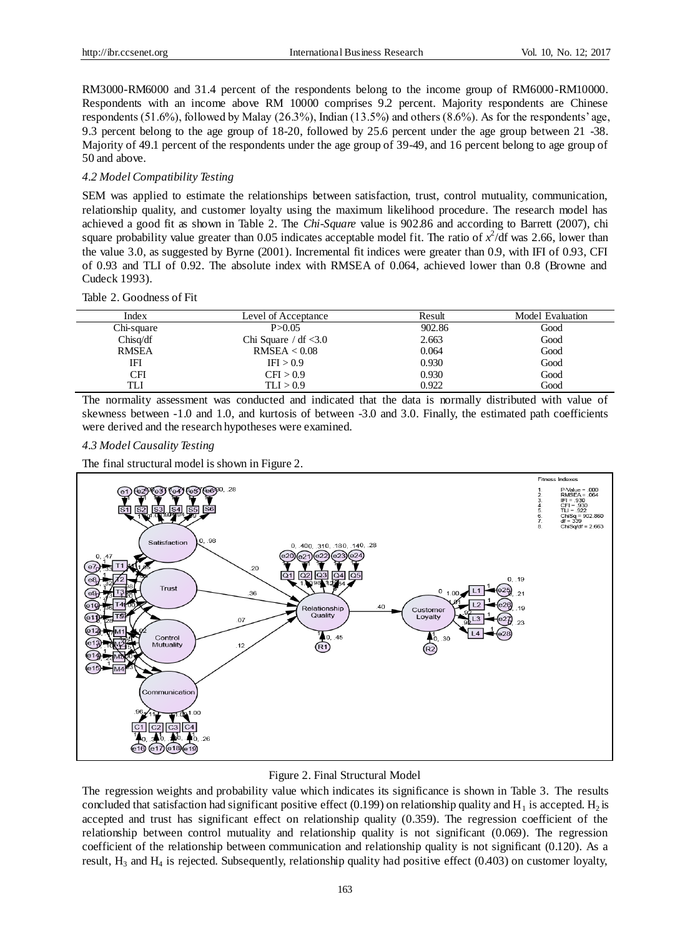RM3000-RM6000 and 31.4 percent of the respondents belong to the income group of RM6000-RM10000. Respondents with an income above RM 10000 comprises 9.2 percent. Majority respondents are Chinese respondents (51.6%), followed by Malay (26.3%), Indian (13.5%) and others (8.6%). As for the respondents' age, 9.3 percent belong to the age group of 18-20, followed by 25.6 percent under the age group between 21 -38. Majority of 49.1 percent of the respondents under the age group of 39-49, and 16 percent belong to age group of 50 and above.

## *4.2 Model Compatibility Testing*

SEM was applied to estimate the relationships between satisfaction, trust, control mutuality, communication, relationship quality, and customer loyalty using the maximum likelihood procedure. The research model has achieved a good fit as shown in Table 2. The *Chi-Square* value is 902.86 and according to Barrett (2007), chi square probability value greater than  $0.05$  indicates acceptable model fit. The ratio of  $x^2$ /df was 2.66, lower than the value 3.0, as suggested by Byrne (2001). Incremental fit indices were greater than 0.9, with IFI of 0.93, CFI of 0.93 and TLI of 0.92. The absolute index with RMSEA of 0.064, achieved lower than 0.8 (Browne and Cudeck 1993).

## Table 2. Goodness of Fit

| Index        | Level of Acceptance       | Result | Model Evaluation |
|--------------|---------------------------|--------|------------------|
|              |                           |        |                  |
| Chi-square   | P > 0.05                  | 902.86 | Good             |
| Chisq/df     | Chi Square $/df \leq 3.0$ | 2.663  | Good             |
| <b>RMSEA</b> | RMSEA < 0.08              | 0.064  | Good             |
| IFI          | IFI > 0.9                 | 0.930  | Good             |
| CFI          | CFI > 0.9                 | 0.930  | Good             |
| TLI          | TLI > 0.9                 | 0.922  | Good             |

The normality assessment was conducted and indicated that the data is normally distributed with value of skewness between -1.0 and 1.0, and kurtosis of between -3.0 and 3.0. Finally, the estimated path coefficients were derived and the research hypotheses were examined.

#### *4.3 Model Causality Testing*

The final structural model is shown in Figure 2.



#### Figure 2. Final Structural Model

The regression weights and probability value which indicates its significance is shown in Table 3. The results concluded that satisfaction had significant positive effect (0.199) on relationship quality and  $H_1$  is accepted.  $H_2$  is accepted and trust has significant effect on relationship quality (0.359). The regression coefficient of the relationship between control mutuality and relationship quality is not significant (0.069). The regression coefficient of the relationship between communication and relationship quality is not significant (0.120). As a result,  $H_3$  and  $H_4$  is rejected. Subsequently, relationship quality had positive effect (0.403) on customer loyalty,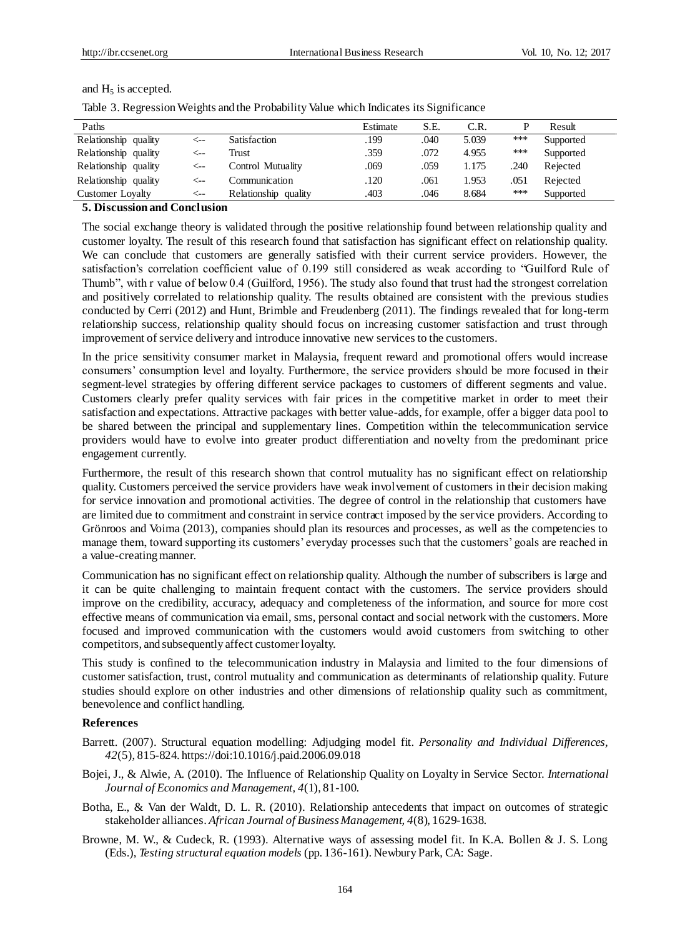# and  $H_5$  is accepted.

|  | Table 3. Regression Weights and the Probability Value which Indicates its Significance |  |  |  |
|--|----------------------------------------------------------------------------------------|--|--|--|
|  |                                                                                        |  |  |  |

| Paths                   |     |                         | Estimate | S.E. | C.R.  |      | Result    |
|-------------------------|-----|-------------------------|----------|------|-------|------|-----------|
| Relationship quality    | <-- | Satisfaction            | .199     | .040 | 5.039 | ***  | Supported |
| Relationship quality    | ⊂–– | Trust                   | .359     | .072 | 4.955 | ***  | Supported |
| Relationship quality    | ⊂–– | Control Mutuality       | .069     | .059 | 1.175 | .240 | Rejected  |
| Relationship quality    | <−− | Communication           | .120     | .061 | 1.953 | .051 | Rejected  |
| <b>Customer Loyalty</b> | c-- | Relationship<br>quality | .403     | .046 | 8.684 | ***  | Supported |

# **5. Discussion and Conclusion**

The social exchange theory is validated through the positive relationship found between relationship quality and customer loyalty. The result of this research found that satisfaction has significant effect on relationship quality. We can conclude that customers are generally satisfied with their current service providers. However, the satisfaction's correlation coefficient value of 0.199 still considered as weak according to "Guilford Rule of Thumb", with r value of below 0.4 (Guilford, 1956). The study also found that trust had the strongest correlation and positively correlated to relationship quality. The results obtained are consistent with the previous studies conducted by Cerri (2012) and Hunt, Brimble and Freudenberg (2011). The findings revealed that for long-term relationship success, relationship quality should focus on increasing customer satisfaction and trust through improvement of service delivery and introduce innovative new services to the customers.

In the price sensitivity consumer market in Malaysia, frequent reward and promotional offers would increase consumers' consumption level and loyalty. Furthermore, the service providers should be more focused in their segment-level strategies by offering different service packages to customers of different segments and value. Customers clearly prefer quality services with fair prices in the competitive market in order to meet their satisfaction and expectations. Attractive packages with better value-adds, for example, offer a bigger data pool to be shared between the principal and supplementary lines. Competition within the telecommunication service providers would have to evolve into greater product differentiation and novelty from the predominant price engagement currently.

Furthermore, the result of this research shown that control mutuality has no significant effect on relationship quality. Customers perceived the service providers have weak involvement of customers in their decision making for service innovation and promotional activities. The degree of control in the relationship that customers have are limited due to commitment and constraint in service contract imposed by the service providers. According to Grönroos and Voima (2013), companies should plan its resources and processes, as well as the competencies to manage them, toward supporting its customers' everyday processes such that the customers' goals are reached in a value-creating manner.

Communication has no significant effect on relationship quality. Although the number of subscribers is large and it can be quite challenging to maintain frequent contact with the customers. The service providers should improve on the credibility, accuracy, adequacy and completeness of the information, and source for more cost effective means of communication via email, sms, personal contact and social network with the customers. More focused and improved communication with the customers would avoid customers from switching to other competitors, and subsequently affect customer loyalty.

This study is confined to the telecommunication industry in Malaysia and limited to the four dimensions of customer satisfaction, trust, control mutuality and communication as determinants of relationship quality. Future studies should explore on other industries and other dimensions of relationship quality such as commitment, benevolence and conflict handling.

# **References**

- Barrett. (2007). Structural equation modelling: Adjudging model fit. *Personality and Individual Differences, 42*(5), 815-824[. https://doi:10.1016/j.paid.2006.09.018](https://doi:10.1016/j.paid.2006.09.018)
- Bojei, J., & Alwie, A. (2010). The Influence of Relationship Quality on Loyalty in Service Sector. *International Journal of Economics and Management, 4*(1), 81-100.
- Botha, E., & Van der Waldt, D. L. R. (2010). Relationship antecedents that impact on outcomes of strategic stakeholder alliances. *African Journal of Business Management, 4*(8), 1629-1638.
- Browne, M. W., & Cudeck, R. (1993). Alternative ways of assessing model fit. In K.A. Bollen & J. S. Long (Eds.), *Testing structural equation models* (pp. 136-161). Newbury Park, CA: Sage.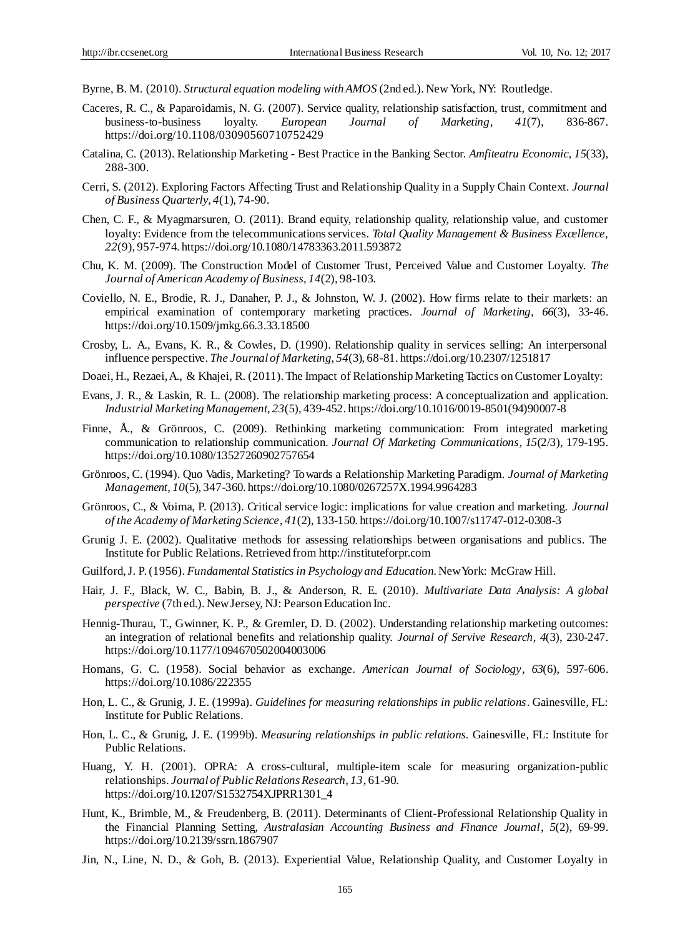Byrne, B. M. (2010). *Structural equation modeling with AMOS* (2nd ed.). New York, NY: Routledge.

- Caceres, R. C., & Paparoidamis, N. G. (2007). Service quality, relationship satisfaction, trust, commitment and business-to-business loyalty. *European Journal of Marketing*, *41*(7), 836-867. https:[//doi.org/10.1108/03090560710752429](https://doi.org/10.1108/03090560710752429)
- Catalina, C. (2013). Relationship Marketing Best Practice in the Banking Sector. *Amfiteatru Economic*, *15*(33), 288-300.
- Cerri, S. (2012). Exploring Factors Affecting Trust and Relationship Quality in a Supply Chain Context. *Journal of Business Quarterly*, *4*(1), 74-90.
- Chen, C. F., & Myagmarsuren, O. (2011). Brand equity, relationship quality, relationship value, and customer loyalty: Evidence from the telecommunications services. *Total Quality Management & Business Excellence, 22*(9), 957-974. https://doi.org/10.1080/14783363.2011.593872
- Chu, K. M. (2009). The Construction Model of Customer Trust, Perceived Value and Customer Loyalty. *The Journal of American Academy of Business*, *14*(2), 98-103.
- Coviello, N. E., Brodie, R. J., Danaher, P. J., & Johnston, W. J. (2002). How firms relate to their markets: an empirical examination of contemporary marketing practices. *Journal of Marketing, 66*(3), 33-46. <https://doi.org/10.1509/jmkg.66.3.33.18500>
- Crosby, L. A., Evans, K. R., & Cowles, D. (1990). Relationship quality in services selling: An interpersonal influence perspective. *The Journal of Marketing*, *54*(3), 68-81. https://doi.org/10.2307/1251817
- Doaei, H., Rezaei, A., & Khajei, R. (2011). The Impact of Relationship Marketing Tactics on Customer Loyalty:
- Evans, J. R., & Laskin, R. L. (2008). The relationship marketing process: A conceptualization and application. *Industrial Marketing Management*, *23*(5), 439-452. https://doi.org/10.1016/0019-8501(94)90007-8
- Finne, Å., & Grönroos, C. (2009). Rethinking marketing communication: From integrated marketing communication to relationship communication. *Journal Of Marketing Communications*, *15*(2/3), 179-195. https://doi.org/10.1080/13527260902757654
- Grönroos, C. (1994). Quo Vadis, Marketing? Towards a Relationship Marketing Paradigm. *Journal of Marketing Management, 10*(5), 347-360. https://doi.org/10.1080/0267257X.1994.9964283
- Grönroos, C., & Voima, P. (2013). Critical service logic: implications for value creation and marketing. *Journal of the Academy of Marketing Science*, *41*(2), 133-150. https://doi.org/10.1007/s11747-012-0308-3
- Grunig J. E. (2002). Qualitative methods for assessing relationships between organisations and publics. The Institute for Public Relations. Retrieved fro[m http://instituteforpr.com](http://instituteforpr.com/)
- Guilford, J. P. (1956). *Fundamental Statistics in Psychology and Education*. New York: McGraw Hill.
- Hair, J. F., Black, W. C., Babin, B. J., & Anderson, R. E. (2010). *Multivariate Data Analysis: A global perspective* (7th ed.). New Jersey, NJ: Pearson Education Inc.
- Hennig-Thurau, T., Gwinner, K. P., & Gremler, D. D. (2002). Understanding relationship marketing outcomes: an integration of relational benefits and relationship quality. *Journal of Servive Research*, *4*(3), 230-247. https://doi.org/10.1177/1094670502004003006
- Homans, G. C. (1958). Social behavior as exchange. *American Journal of Sociology*, *63*(6), 597-606. https://doi.org/10.1086/222355
- Hon, L. C., & Grunig, J. E. (1999a). *Guidelines for measuring relationships in public relations*. Gainesville, FL: Institute for Public Relations.
- Hon, L. C., & Grunig, J. E. (1999b). *Measuring relationships in public relations.* Gainesville, FL: Institute for Public Relations.
- Huang, Y. H. (2001). OPRA: A cross-cultural, multiple-item scale for measuring organization-public relationships. *Journal of Public Relations Research, 13,* 61-90. https://doi.org/10.1207/S1532754XJPRR1301\_4
- Hunt, K., Brimble, M., & Freudenberg, B. (2011). Determinants of Client-Professional Relationship Quality in the Financial Planning Setting, *Australasian Accounting Business and Finance Journal*, *5*(2), 69-99. https://doi.org/10.2139/ssrn.1867907
- Jin, N., Line, N. D., & Goh, B. (2013). Experiential Value, Relationship Quality, and Customer Loyalty in